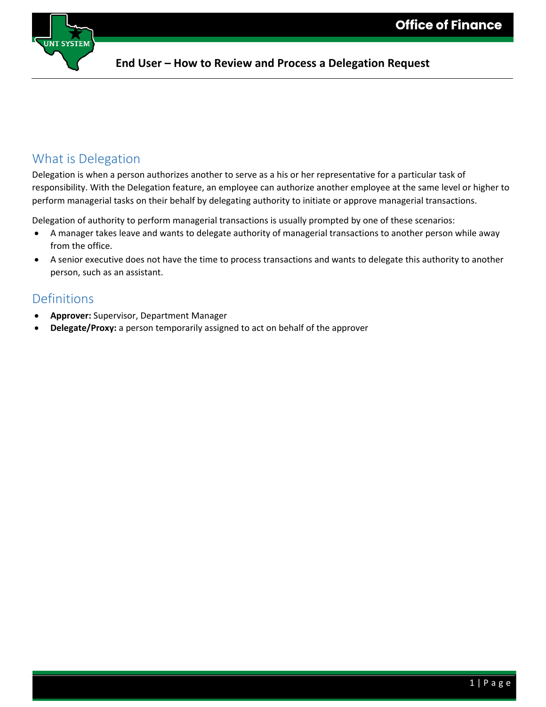

#### **End User – How to Review and Process a Delegation Request**

#### What is Delegation

Delegation is when a person authorizes another to serve as a his or her representative for a particular task of responsibility. With the Delegation feature, an employee can authorize another employee at the same level or higher to perform managerial tasks on their behalf by delegating authority to initiate or approve managerial transactions.

Delegation of authority to perform managerial transactions is usually prompted by one of these scenarios:

- A manager takes leave and wants to delegate authority of managerial transactions to another person while away from the office.
- A senior executive does not have the time to process transactions and wants to delegate this authority to another person, such as an assistant.

### Definitions

- **Approver:** Supervisor, Department Manager
- **Delegate/Proxy:** a person temporarily assigned to act on behalf of the approver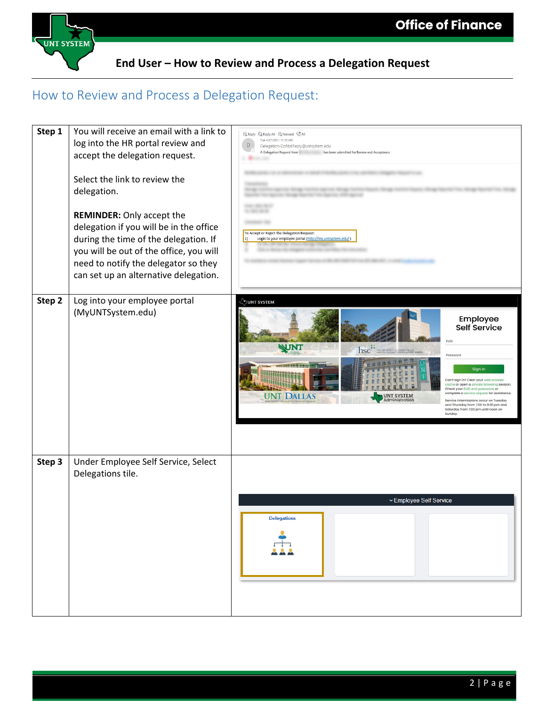

**End User – How to Review and Process a Delegation Request**

## How to Review and Process a Delegation Request:

| Step 1 | You will receive an email with a link to<br>log into the HR portal review and<br>accept the delegation request.                                                                                                                                  | Reply Q Reply All C Forward SOIM<br>Tue 4/27/2021 11:18 AM<br>$\mathsf{D}%$<br>Delegation-DoNotReply@untsystem.edu<br>A Delegation Request from<br>has been submitted for Review and Acceptance                                                                                                                                                                                                                                                                                                        |
|--------|--------------------------------------------------------------------------------------------------------------------------------------------------------------------------------------------------------------------------------------------------|--------------------------------------------------------------------------------------------------------------------------------------------------------------------------------------------------------------------------------------------------------------------------------------------------------------------------------------------------------------------------------------------------------------------------------------------------------------------------------------------------------|
|        | Select the link to review the<br>delegation.                                                                                                                                                                                                     |                                                                                                                                                                                                                                                                                                                                                                                                                                                                                                        |
|        | <b>REMINDER:</b> Only accept the<br>delegation if you will be in the office<br>during the time of the delegation. If<br>you will be out of the office, you will<br>need to notify the delegator so they<br>can set up an alternative delegation. | To Accept or Reject the Delegation Request:<br>Login to your employee portal (http://my.untsystem.edu/)<br>$ 1\rangle$                                                                                                                                                                                                                                                                                                                                                                                 |
| Step 2 | Log into your employee portal<br>(MyUNTSystem.edu)                                                                                                                                                                                               | VUNT SYSTEM!<br>Employee<br><b>Self Service</b><br><b>EUID</b><br>NINT<br><b>hschip Conversity of NORTH TEXAS</b><br>Password<br>Sign in<br>Can't sign in? Clear your web brows<br>cache or open a private browsing session.<br>Check your EUID and password, or<br>complete a service request for assistance<br><b>UNT DALLAS</b><br>UNT SYSTEM<br>dministration<br>Service intermissions occur on Tuesday<br>and Thursday from 7:00 to 9:30 pm and<br>Saturday from 7:00 pm until noon on<br>Sunday. |
| Step 3 | Under Employee Self Service, Select<br>Delegations tile.                                                                                                                                                                                         | ▽ Employee Self Service<br><b>Delegations</b>                                                                                                                                                                                                                                                                                                                                                                                                                                                          |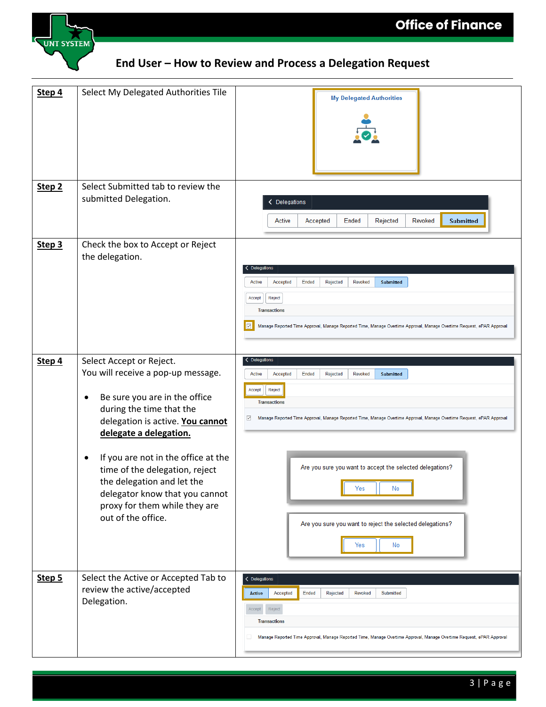

# **End User – How to Review and Process a Delegation Request**

| Step 4            | Select My Delegated Authorities Tile                                                                                                                                                                                                                                                                                                                                                                | <b>My Delegated Authorities</b>                                                                                                                                                                                                                                                                                                                                                                               |
|-------------------|-----------------------------------------------------------------------------------------------------------------------------------------------------------------------------------------------------------------------------------------------------------------------------------------------------------------------------------------------------------------------------------------------------|---------------------------------------------------------------------------------------------------------------------------------------------------------------------------------------------------------------------------------------------------------------------------------------------------------------------------------------------------------------------------------------------------------------|
|                   |                                                                                                                                                                                                                                                                                                                                                                                                     |                                                                                                                                                                                                                                                                                                                                                                                                               |
| Step <sub>2</sub> | Select Submitted tab to review the<br>submitted Delegation.                                                                                                                                                                                                                                                                                                                                         | Delegations<br>Revoked<br><b>Submitted</b><br>Active<br>Accepted<br>Ended<br>Rejected                                                                                                                                                                                                                                                                                                                         |
| Step 3            | Check the box to Accept or Reject<br>the delegation.                                                                                                                                                                                                                                                                                                                                                | < Delegations<br>Active<br>Accepted<br>Ended<br>Rejected<br>Revoked<br><b>Submitted</b><br>Accept<br>Reject<br><b>Transactions</b><br>$\Box$<br>Manage Reported Time Approval, Manage Reported Time, Manage Overtime Approval, Manage Overtime Request, ePAR Approval                                                                                                                                         |
| Step 4            | Select Accept or Reject.<br>You will receive a pop-up message.<br>Be sure you are in the office<br>٠<br>during the time that the<br>delegation is active. You cannot<br>delegate a delegation.<br>If you are not in the office at the<br>٠<br>time of the delegation, reject<br>the delegation and let the<br>delegator know that you cannot<br>proxy for them while they are<br>out of the office. | < Delegations<br>Active<br>Accepted<br>Ended<br>Rejected<br>Revoked<br>Submitted<br>Reject<br>Accept<br><b>Transactions</b><br>Manage Reported Time Approval, Manage Reported Time, Manage Overtime Approval, Manage Overtime Request, ePAR Approval<br>☑<br>Are you sure you want to accept the selected delegations?<br>No<br>Yes<br>Are you sure you want to reject the selected delegations?<br>Yes<br>No |
| Step 5            | Select the Active or Accepted Tab to<br>review the active/accepted<br>Delegation.                                                                                                                                                                                                                                                                                                                   | < Delegations<br>Accepted<br>Ended<br><b>Active</b><br>Rejected<br><b>Revoked</b><br>Submitted<br>Reject<br>Accept<br><b>Transactions</b><br>Manage Reported Time Approval, Manage Reported Time, Manage Overtime Approval, Manage Overtime Request, ePAR Approval                                                                                                                                            |